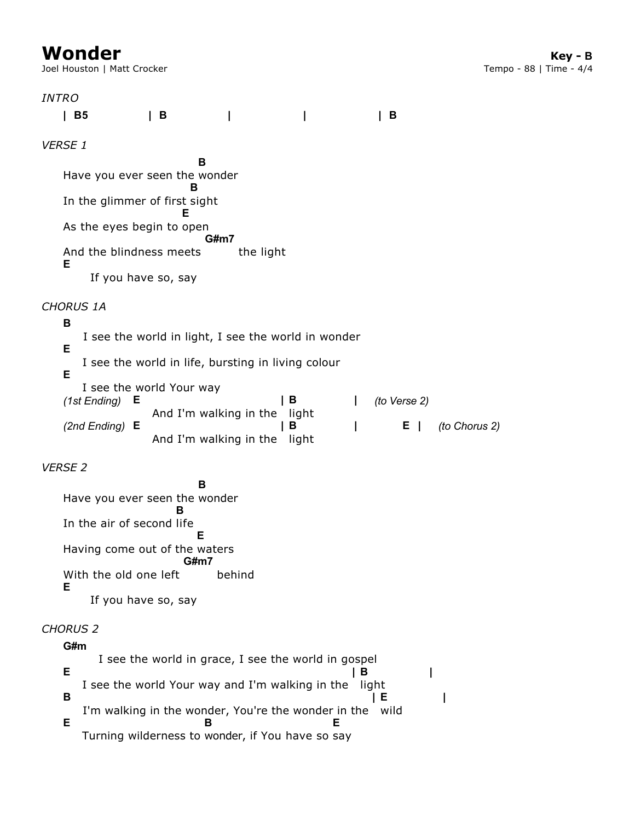Joel Houston | Matt Crocker

| <b>INTRO</b> |                                                                    |                                                               |                                                     |            |              |               |  |  |  |  |  |
|--------------|--------------------------------------------------------------------|---------------------------------------------------------------|-----------------------------------------------------|------------|--------------|---------------|--|--|--|--|--|
|              | B5                                                                 | B<br>L                                                        | I                                                   |            | В            |               |  |  |  |  |  |
|              | <b>VERSE 1</b>                                                     |                                                               |                                                     |            |              |               |  |  |  |  |  |
|              | В<br>Have you ever seen the wonder<br>В                            |                                                               |                                                     |            |              |               |  |  |  |  |  |
|              | In the glimmer of first sight                                      | Е                                                             |                                                     |            |              |               |  |  |  |  |  |
|              | As the eyes begin to open<br>G#m7                                  |                                                               |                                                     |            |              |               |  |  |  |  |  |
|              | And the blindness meets<br>the light<br>Е<br>If you have so, say   |                                                               |                                                     |            |              |               |  |  |  |  |  |
|              | <b>CHORUS 1A</b><br>В                                              |                                                               |                                                     |            |              |               |  |  |  |  |  |
|              | I see the world in light, I see the world in wonder<br>Е           |                                                               |                                                     |            |              |               |  |  |  |  |  |
|              | I see the world in life, bursting in living colour<br>Е            |                                                               |                                                     |            |              |               |  |  |  |  |  |
|              | Е<br>(1st Ending)                                                  | I see the world Your way                                      | В<br>And I'm walking in the<br>light                | L          | (to Verse 2) |               |  |  |  |  |  |
|              | $(2nd$ Ending) E                                                   | And I'm walking in the                                        | В                                                   | I<br>light | Е<br>$\perp$ | (to Chorus 2) |  |  |  |  |  |
|              | <b>VERSE 2</b>                                                     |                                                               |                                                     |            |              |               |  |  |  |  |  |
|              | Have you ever seen the wonder                                      | в                                                             |                                                     |            |              |               |  |  |  |  |  |
|              | In the air of second life                                          | в<br>Е                                                        |                                                     |            |              |               |  |  |  |  |  |
|              | Having come out of the waters                                      | G#m7                                                          |                                                     |            |              |               |  |  |  |  |  |
|              | With the old one left<br>Е                                         |                                                               | behind                                              |            |              |               |  |  |  |  |  |
|              |                                                                    | If you have so, say                                           |                                                     |            |              |               |  |  |  |  |  |
|              | <b>CHORUS 2</b><br>G#m                                             |                                                               |                                                     |            |              |               |  |  |  |  |  |
|              | Е                                                                  |                                                               | I see the world in grace, I see the world in gospel | в          |              |               |  |  |  |  |  |
|              | в                                                                  | I see the world Your way and I'm walking in the<br>light<br>Е |                                                     |            |              |               |  |  |  |  |  |
|              | I'm walking in the wonder, You're the wonder in the wild<br>Е<br>Е |                                                               |                                                     |            |              |               |  |  |  |  |  |
|              |                                                                    |                                                               | Turning wilderness to wonder, if You have so say    |            |              |               |  |  |  |  |  |